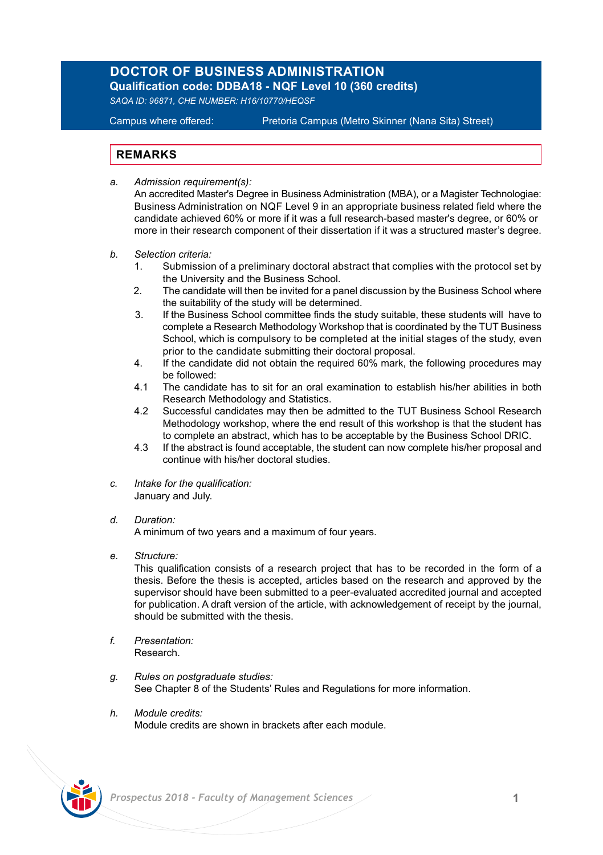## **DOCTOR OF BUSINESS ADMINISTRATION Qualification code: DDBA18 - NQF Level 10 (360 credits)**

*SAQA ID: 96871, CHE NUMBER: H16/10770/HEQSF*

Campus where offered: Pretoria Campus (Metro Skinner (Nana Sita) Street)

## **REMARKS**

*a. Admission requirement(s):*

 An accredited Master's Degree in Business Administration (MBA), or a Magister Technologiae: Business Administration on NQF Level 9 in an appropriate business related field where the candidate achieved 60% or more if it was a full research-based master's degree, or 60% or more in their research component of their dissertation if it was a structured master's degree.

- *b. Selection criteria:*
	- 1. Submission of a preliminary doctoral abstract that complies with the protocol set by the University and the Business School.
	- 2. The candidate will then be invited for a panel discussion by the Business School where the suitability of the study will be determined.
	- 3. If the Business School committee finds the study suitable, these students will have to complete a Research Methodology Workshop that is coordinated by the TUT Business School, which is compulsory to be completed at the initial stages of the study, even prior to the candidate submitting their doctoral proposal.
	- 4. If the candidate did not obtain the required 60% mark, the following procedures may be followed:
	- 4.1 The candidate has to sit for an oral examination to establish his/her abilities in both Research Methodology and Statistics.
	- 4.2 Successful candidates may then be admitted to the TUT Business School Research Methodology workshop, where the end result of this workshop is that the student has to complete an abstract, which has to be acceptable by the Business School DRIC.
	- 4.3 If the abstract is found acceptable, the student can now complete his/her proposal and continue with his/her doctoral studies.
- *c. Intake for the qualification:* January and July.
- *d. Duration:* A minimum of two years and a maximum of four years.
- *e. Structure:*

This qualification consists of a research project that has to be recorded in the form of a thesis. Before the thesis is accepted, articles based on the research and approved by the supervisor should have been submitted to a peer-evaluated accredited journal and accepted for publication. A draft version of the article, with acknowledgement of receipt by the journal, should be submitted with the thesis.

- *f. Presentation:* Research.
- *g. Rules on postgraduate studies:* See Chapter 8 of the Students' Rules and Regulations for more information.
- *h. Module credits:* Module credits are shown in brackets after each module.